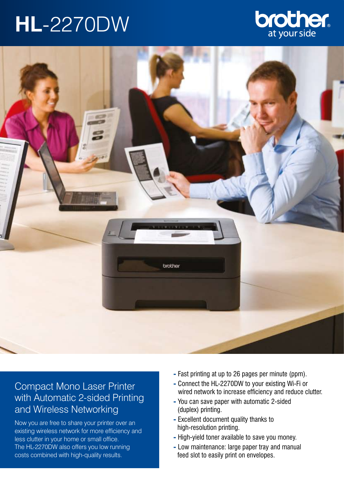# **HL**-2270DW





## Compact Mono Laser Printer with Automatic 2-sided Printing and Wireless Networking

Now you are free to share your printer over an existing wireless network for more efficiency and less clutter in your home or small office. The HL-2270DW also offers you low running costs combined with high-quality results.

- Fast printing at up to 26 pages per minute (ppm).
- Connect the HL-2270DW to your existing Wi-Fi or wired network to increase efficiency and reduce clutter.
- You can save paper with automatic 2-sided (duplex) printing.
- Excellent document quality thanks to high-resolution printing.
- High-yield toner available to save you money.
- Low maintenance: large paper tray and manual feed slot to easily print on envelopes.